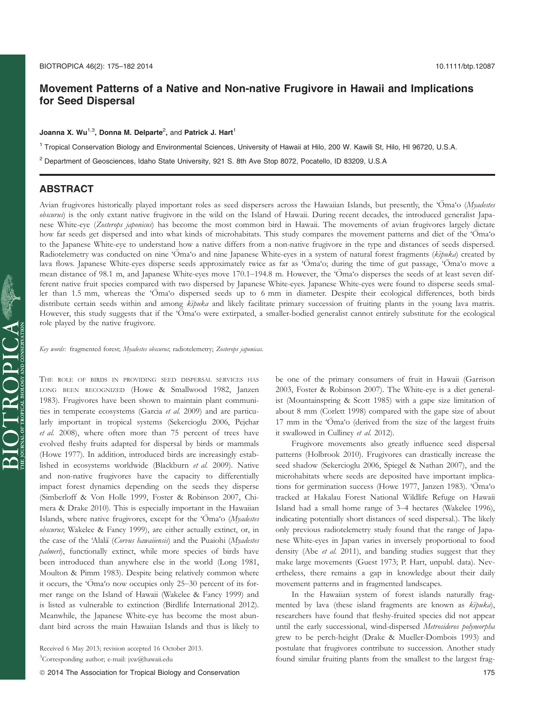# Movement Patterns of a Native and Non-native Frugivore in Hawaii and Implications for Seed Dispersal

#### Joanna X. Wu $^{1,3}$ , Donna M. Delparte $^2$ , and Patrick J. Hart $^1$

<sup>1</sup> Tropical Conservation Biology and Environmental Sciences, University of Hawaii at Hilo, 200 W. Kawili St, Hilo, HI 96720, U.S.A.

<sup>2</sup> Department of Geosciences, Idaho State University, 921 S. 8th Ave Stop 8072, Pocatello, ID 83209, U.S.A

## ABSTRACT

Avian frugivores historically played important roles as seed dispersers across the Hawaiian Islands, but presently, the 'Oma'o (Myadestes obscurus) is the only extant native frugivore in the wild on the Island of Hawaii. During recent decades, the introduced generalist Japanese White-eye (Zosterops japonicus) has become the most common bird in Hawaii. The movements of avian frugivores largely dictate how far seeds get dispersed and into what kinds of microhabitats. This study compares the movement patterns and diet of the 'Oma'o to the Japanese White-eye to understand how a native differs from a non-native frugivore in the type and distances of seeds dispersed. Radiotelemetry was conducted on nine 'Oma'o and nine Japanese White-eyes in a system of natural forest fragments ( $k\bar{p}u$ ka) created by lava flows. Japanese White-eyes disperse seeds approximately twice as far as 'Oma'o; during the time of gut passage, 'Oma'o move a mean distance of 98.1 m, and Japanese White-eyes move 170.1–194.8 m. However, the 'Oma'o disperses the seeds of at least seven different native fruit species compared with two dispersed by Japanese White-eyes. Japanese White-eyes were found to disperse seeds smaller than 1.5 mm, whereas the 'Oma'o dispersed seeds up to 6 mm in diameter. Despite their ecological differences, both birds distribute certain seeds within and among  $k\bar{\nu}$  and likely facilitate primary succession of fruiting plants in the young lava matrix. However, this study suggests that if the 'Oma'o were extirpated, a smaller-bodied generalist cannot entirely substitute for the ecological role played by the native frugivore.

Key words: fragmented forest; Myadestes obscurus; radiotelemetry; Zosterops japonicas.

THE ROLE OF BIRDS IN PROVIDING SEED DISPERSAL SERVICES HAS LONG BEEN RECOGNIZED (Howe & Smallwood 1982, Janzen 1983). Frugivores have been shown to maintain plant communities in temperate ecosystems (Garcia et al. 2009) and are particularly important in tropical systems (Sekercioglu 2006, Pejchar et al. 2008), where often more than 75 percent of trees have evolved fleshy fruits adapted for dispersal by birds or mammals (Howe 1977). In addition, introduced birds are increasingly established in ecosystems worldwide (Blackburn et al. 2009). Native and non-native frugivores have the capacity to differentially impact forest dynamics depending on the seeds they disperse (Simberloff & Von Holle 1999, Foster & Robinson 2007, Chimera & Drake 2010). This is especially important in the Hawaiian Islands, where native frugivores, except for the 'Oma'o (Myadestes obscurus; Wakelee & Fancy 1999), are either actually extinct, or, in the case of the 'Alala (Corvus hawaiiensis) and the Puaiohi (Myadestes palmeri), functionally extinct, while more species of birds have been introduced than anywhere else in the world (Long 1981, Moulton & Pimm 1983). Despite being relatively common where it occurs, the 'Oma'o now occupies only 25–30 percent of its former range on the Island of Hawaii (Wakelee & Fancy 1999) and is listed as vulnerable to extinction (Birdlife International 2012). Meanwhile, the Japanese White-eye has become the most abundant bird across the main Hawaiian Islands and thus is likely to

Received 6 May 2013; revision accepted 16 October 2013. 3 Corresponding author; e-mail: jxw@hawaii.edu

be one of the primary consumers of fruit in Hawaii (Garrison 2003, Foster & Robinson 2007). The White-eye is a diet generalist (Mountainspring & Scott 1985) with a gape size limitation of about 8 mm (Corlett 1998) compared with the gape size of about 17 mm in the 'Oma'o (derived from the size of the largest fruits it swallowed in Culliney et al. 2012).

Frugivore movements also greatly influence seed dispersal patterns (Holbrook 2010). Frugivores can drastically increase the seed shadow (Sekercioglu 2006, Spiegel & Nathan 2007), and the microhabitats where seeds are deposited have important implications for germination success (Howe 1977, Janzen 1983). 'Oma 'o tracked at Hakalau Forest National Wildlife Refuge on Hawaii Island had a small home range of 3–4 hectares (Wakelee 1996), indicating potentially short distances of seed dispersal.). The likely only previous radiotelemetry study found that the range of Japanese White-eyes in Japan varies in inversely proportional to food density (Abe et al. 2011), and banding studies suggest that they make large movements (Guest 1973; P. Hart, unpubl. data). Nevertheless, there remains a gap in knowledge about their daily movement patterns and in fragmented landscapes.

In the Hawaiian system of forest islands naturally fragmented by lava (these island fragments are known as  $k\bar{z}$ puka), researchers have found that fleshy-fruited species did not appear until the early successional, wind-dispersed Metrosideros polymorpha grew to be perch-height (Drake & Mueller-Dombois 1993) and postulate that frugivores contribute to succession. Another study found similar fruiting plants from the smallest to the largest frag-

ª 2014 The Association for Tropical Biology and Conservation 175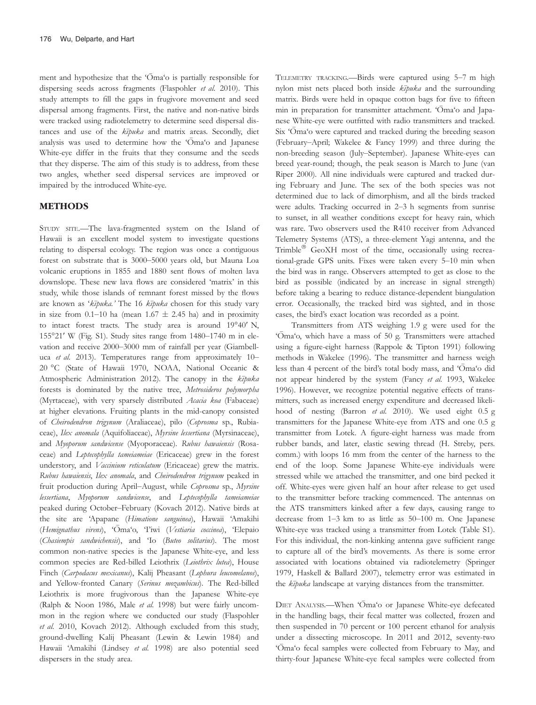ment and hypothesize that the ' $\overline{O}$ ma'o is partially responsible for dispersing seeds across fragments (Flaspohler et al. 2010). This study attempts to fill the gaps in frugivore movement and seed dispersal among fragments. First, the native and non-native birds were tracked using radiotelemetry to determine seed dispersal distances and use of the  $k\bar{z}$ puka and matrix areas. Secondly, diet analysis was used to determine how the 'Oma'o and Japanese White-eye differ in the fruits that they consume and the seeds that they disperse. The aim of this study is to address, from these two angles, whether seed dispersal services are improved or impaired by the introduced White-eye.

### METHODS

STUDY SITE.—The lava-fragmented system on the Island of Hawaii is an excellent model system to investigate questions relating to dispersal ecology. The region was once a contiguous forest on substrate that is 3000–5000 years old, but Mauna Loa volcanic eruptions in 1855 and 1880 sent flows of molten lava downslope. These new lava flows are considered 'matrix' in this study, while those islands of remnant forest missed by the flows are known as 'kīpuka.' The 16 kīpuka chosen for this study vary in size from 0.1–10 ha (mean  $1.67 \pm 2.45$  ha) and in proximity to intact forest tracts. The study area is around 19°40′ N, 155°21′ W (Fig. S1). Study sites range from 1480–1740 m in elevation and receive 2000–3000 mm of rainfall per year (Giambelluca et al. 2013). Temperatures range from approximately 10-20 °C (State of Hawaii 1970, NOAA, National Oceanic & Atmospheric Administration 2012). The canopy in the  $k\bar{z}$ puka forests is dominated by the native tree, Metrosideros polymorpha (Myrtaceae), with very sparsely distributed Acacia koa (Fabaceae) at higher elevations. Fruiting plants in the mid-canopy consisted of Cheirodendron trigynum (Araliaceae), pilo (Coprosma sp., Rubiaceae), Ilex anomala (Aquifoliaceae), Myrsine lessertiana (Myrsinaceae), and Myoporum sandwicense (Myoporaceae). Rubus hawaiensis (Rosaceae) and Leptecophylla tameiameiae (Ericaceae) grew in the forest understory, and Vaccinium reticulatum (Ericaceae) grew the matrix. Rubus hawaiensis, Ilex anomala, and Cheirodendron trigynum peaked in fruit production during April–August, while Coprosma sp., Myrsine lessertiana, Myoporum sandwicense, and Leptecophylla tameiameiae peaked during October–February (Kovach 2012). Native birds at the site are 'Apapane (Himatione sanguinea), Hawaii 'Amakihi (Hemignathus virens), 'Ōma'o, 'I'iwi (Vestiaria coccinea), 'Elepaio (Chasiempis sandwichensis), and 'Io (Buteo solitarius). The most common non-native species is the Japanese White-eye, and less common species are Red-billed Leiothrix (Leiothrix lutea), House Finch (Carpodacus mexicanus), Kalij Pheasant (Lophura leucomelanos), and Yellow-fronted Canary (Serinus mozambicus). The Red-billed Leiothrix is more frugivorous than the Japanese White-eye (Ralph & Noon 1986, Male et al. 1998) but were fairly uncommon in the region where we conducted our study (Flaspohler et al. 2010, Kovach 2012). Although excluded from this study, ground-dwelling Kalij Pheasant (Lewin & Lewin 1984) and Hawaii 'Amakihi (Lindsey et al. 1998) are also potential seed dispersers in the study area.

TELEMETRY TRACKING.—Birds were captured using 5–7 m high nylon mist nets placed both inside  $k\bar{z}puka$  and the surrounding matrix. Birds were held in opaque cotton bags for five to fifteen min in preparation for transmitter attachment. 'Oma'o and Japanese White-eye were outfitted with radio transmitters and tracked. Six 'Oma'o were captured and tracked during the breeding season (February–April; Wakelee & Fancy 1999) and three during the non-breeding season (July–September). Japanese White-eyes can breed year-round; though, the peak season is March to June (van Riper 2000). All nine individuals were captured and tracked during February and June. The sex of the both species was not determined due to lack of dimorphism, and all the birds tracked were adults. Tracking occurred in 2–3 h segments from sunrise to sunset, in all weather conditions except for heavy rain, which was rare. Two observers used the R410 receiver from Advanced Telemetry Systems (ATS), a three-element Yagi antenna, and the Trimble<sup>®</sup> GeoXH most of the time, occasionally using recreational-grade GPS units. Fixes were taken every 5–10 min when the bird was in range. Observers attempted to get as close to the bird as possible (indicated by an increase in signal strength) before taking a bearing to reduce distance-dependent biangulation error. Occasionally, the tracked bird was sighted, and in those cases, the bird's exact location was recorded as a point.

Transmitters from ATS weighing 1.9 g were used for the 'Oma 'o, which have a mass of 50 g. Transmitters were attached using a figure-eight harness (Rappole & Tipton 1991) following methods in Wakelee (1996). The transmitter and harness weigh less than 4 percent of the bird's total body mass, and 'Oma'o did not appear hindered by the system (Fancy et al. 1993, Wakelee 1996). However, we recognize potential negative effects of transmitters, such as increased energy expenditure and decreased likelihood of nesting (Barron et al. 2010). We used eight 0.5 g transmitters for the Japanese White-eye from ATS and one 0.5 g transmitter from Lotek. A figure-eight harness was made from rubber bands, and later, elastic sewing thread (H. Streby, pers. comm.) with loops 16 mm from the center of the harness to the end of the loop. Some Japanese White-eye individuals were stressed while we attached the transmitter, and one bird pecked it off. White-eyes were given half an hour after release to get used to the transmitter before tracking commenced. The antennas on the ATS transmitters kinked after a few days, causing range to decrease from 1–3 km to as little as 50–100 m. One Japanese White-eye was tracked using a transmitter from Lotek (Table S1). For this individual, the non-kinking antenna gave sufficient range to capture all of the bird's movements. As there is some error associated with locations obtained via radiotelemetry (Springer 1979, Haskell & Ballard 2007), telemetry error was estimated in the  $k\bar{\imath}puka$  landscape at varying distances from the transmitter.

DIET ANALYSIS.—When 'Oma'o or Japanese White-eye defecated in the handling bags, their fecal matter was collected, frozen and then suspended in 70 percent or 100 percent ethanol for analysis under a dissecting microscope. In 2011 and 2012, seventy-two 'Oma'o fecal samples were collected from February to May, and thirty-four Japanese White-eye fecal samples were collected from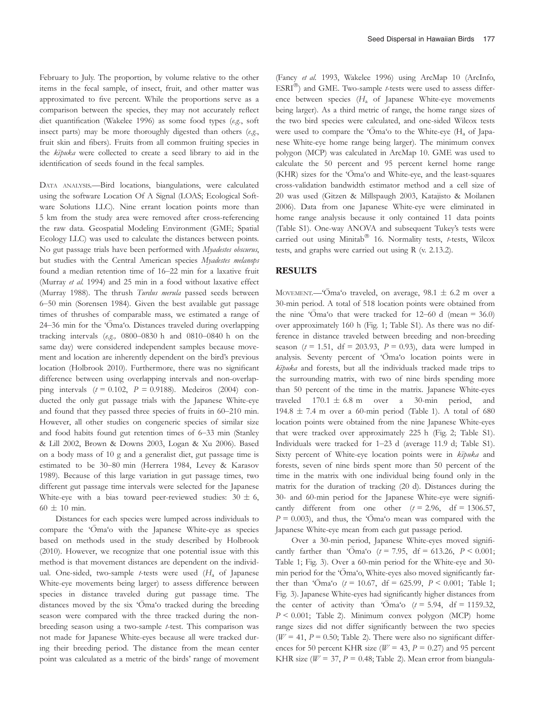February to July. The proportion, by volume relative to the other items in the fecal sample, of insect, fruit, and other matter was approximated to five percent. While the proportions serve as a comparison between the species, they may not accurately reflect diet quantification (Wakelee 1996) as some food types (e.g., soft insect parts) may be more thoroughly digested than others  $(e.g.,)$ fruit skin and fibers). Fruits from all common fruiting species in the kipuka were collected to create a seed library to aid in the identification of seeds found in the fecal samples.

DATA ANALYSIS.—Bird locations, biangulations, were calculated using the software Location Of A Signal (LOAS; Ecological Software Solutions LLC). Nine errant location points more than 5 km from the study area were removed after cross-referencing the raw data. Geospatial Modeling Environment (GME; Spatial Ecology LLC) was used to calculate the distances between points. No gut passage trials have been performed with Myadestes obscurus, but studies with the Central American species Myadestes melanops found a median retention time of 16–22 min for a laxative fruit (Murray et al. 1994) and 25 min in a food without laxative effect (Murray 1988). The thrush Turdus merula passed seeds between 6–50 min (Sorensen 1984). Given the best available gut passage times of thrushes of comparable mass, we estimated a range of 24–36 min for the 'Oma'o. Distances traveled during overlapping tracking intervals (e.g., 0800–0830 h and 0810–0840 h on the same day) were considered independent samples because movement and location are inherently dependent on the bird's previous location (Holbrook 2010). Furthermore, there was no significant difference between using overlapping intervals and non-overlapping intervals  $(t = 0.102, P = 0.9188)$ . Medeiros (2004) conducted the only gut passage trials with the Japanese White-eye and found that they passed three species of fruits in 60–210 min. However, all other studies on congeneric species of similar size and food habits found gut retention times of 6–33 min (Stanley & Lill 2002, Brown & Downs 2003, Logan & Xu 2006). Based on a body mass of 10 g and a generalist diet, gut passage time is estimated to be 30–80 min (Herrera 1984, Levey & Karasov 1989). Because of this large variation in gut passage times, two different gut passage time intervals were selected for the Japanese White-eye with a bias toward peer-reviewed studies:  $30 \pm 6$ ,  $60 \pm 10$  min.

Distances for each species were lumped across individuals to compare the 'Oma'o with the Japanese White-eye as species based on methods used in the study described by Holbrook (2010). However, we recognize that one potential issue with this method is that movement distances are dependent on the individual. One-sided, two-sample *t*-tests were used  $(H_a \text{ of }]$ apanese White-eye movements being larger) to assess difference between species in distance traveled during gut passage time. The distances moved by the six 'Oma'o tracked during the breeding season were compared with the three tracked during the nonbreeding season using a two-sample t-test. This comparison was not made for Japanese White-eyes because all were tracked during their breeding period. The distance from the mean center point was calculated as a metric of the birds' range of movement (Fancy et al. 1993, Wakelee 1996) using ArcMap 10 (ArcInfo, ESRI<sup>®</sup>) and GME. Two-sample *t*-tests were used to assess difference between species  $(H_a \text{ of Japanese White-eye movements})$ being larger). As a third metric of range, the home range sizes of the two bird species were calculated, and one-sided Wilcox tests were used to compare the ' $\overline{O}$ ma'o to the White-eye (H<sub>a</sub> of Japanese White-eye home range being larger). The minimum convex polygon (MCP) was calculated in ArcMap 10. GME was used to calculate the 50 percent and 95 percent kernel home range (KHR) sizes for the 'Oma'o and White-eye, and the least-squares cross-validation bandwidth estimator method and a cell size of 20 was used (Gitzen & Millspaugh 2003, Katajisto & Moilanen 2006). Data from one Japanese White-eye were eliminated in home range analysis because it only contained 11 data points (Table S1). One-way ANOVA and subsequent Tukey's tests were carried out using Minitab<sup>®</sup> 16. Normality tests, t-tests, Wilcox tests, and graphs were carried out using R (v. 2.13.2).

# **RESULTS**

MOVEMENT.—' $\overline{\text{O}}$ ma'o traveled, on average, 98.1  $\pm$  6.2 m over a 30-min period. A total of 518 location points were obtained from the nine ' $\overline{O}$ ma'o that were tracked for 12–60 d (mean = 36.0) over approximately 160 h (Fig. 1; Table S1). As there was no difference in distance traveled between breeding and non-breeding season ( $t = 1.51$ , df = 203.93,  $P = 0.93$ ), data were lumped in analysis. Seventy percent of 'Oma'o location points were in  $k\bar{z}$ puka and forests, but all the individuals tracked made trips to the surrounding matrix, with two of nine birds spending more than 50 percent of the time in the matrix. Japanese White-eyes traveled  $170.1 \pm 6.8$  m over a 30-min period, and 194.8  $\pm$  7.4 m over a 60-min period (Table 1). A total of 680 location points were obtained from the nine Japanese White-eyes that were tracked over approximately 225 h (Fig. 2; Table S1). Individuals were tracked for 1–23 d (average 11.9 d; Table S1). Sixty percent of White-eye location points were in  $k\bar{z}$ puka and forests, seven of nine birds spent more than 50 percent of the time in the matrix with one individual being found only in the matrix for the duration of tracking (20 d). Distances during the 30- and 60-min period for the Japanese White-eye were significantly different from one other  $(t = 2.96, df = 1306.57,$  $P = 0.003$ ), and thus, the 'Oma'o mean was compared with the Japanese White-eye mean from each gut passage period.

Over a 30-min period, Japanese White-eyes moved significantly farther than 'Oma'o  $(t = 7.95, df = 613.26, P < 0.001;$ Table 1; Fig. 3). Over a 60-min period for the White-eye and 30 min period for the 'Oma'o, White-eyes also moved significantly farther than 'Oma'o  $(t = 10.67, df = 625.99, P < 0.001$ ; Table 1; Fig. 3). Japanese White-eyes had significantly higher distances from the center of activity than ' $\overline{O}$ ma'o ( $t = 5.94$ , df = 1159.32,  $P \le 0.001$ ; Table 2). Minimum convex polygon (MCP) home range sizes did not differ significantly between the two species ( $W = 41$ ,  $P = 0.50$ ; Table 2). There were also no significant differences for 50 percent KHR size ( $W = 43$ ,  $P = 0.27$ ) and 95 percent KHR size ( $W = 37$ ,  $P = 0.48$ ; Table 2). Mean error from biangula-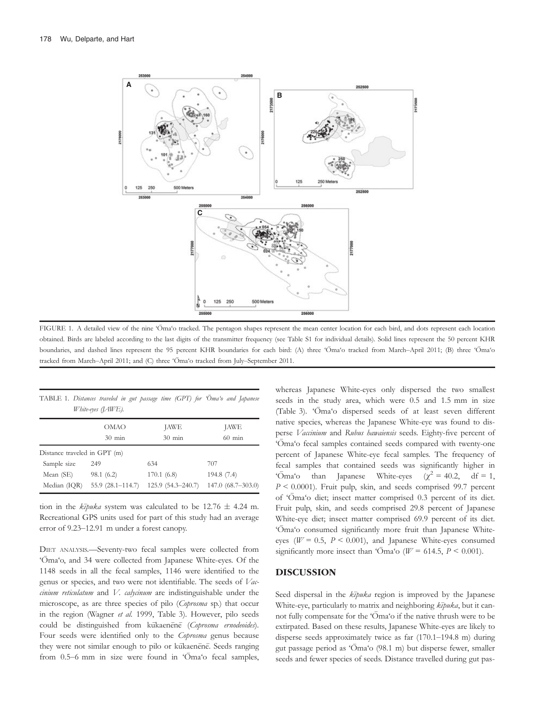

FIGURE 1. A detailed view of the nine 'Oma'o tracked. The pentagon shapes represent the mean center location for each bird, and dots represent each location obtained. Birds are labeled according to the last digits of the transmitter frequency (see Table S1 for individual details). Solid lines represent the 50 percent KHR boundaries, and dashed lines represent the 95 percent KHR boundaries for each bird: (A) three 'Oma'o tracked from March–April 2011; (B) three 'Oma'o tracked from March-April 2011; and (C) three 'Oma'o tracked from July-September 2011.

| TABLE 1. Distances traveled in gut passage time (GPT) for 'Oma'o and Japanese<br>White-eyes ([AWE). |                      |                     |                     |  |  |  |  |  |
|-----------------------------------------------------------------------------------------------------|----------------------|---------------------|---------------------|--|--|--|--|--|
|                                                                                                     | <b>OMAO</b>          | <b>JAWE</b>         | JAWE                |  |  |  |  |  |
|                                                                                                     | $30 \text{ min}$     | $30 \text{ min}$    | $60$ min            |  |  |  |  |  |
| Distance traveled in GPT (m)                                                                        |                      |                     |                     |  |  |  |  |  |
| Sample size                                                                                         | 249                  | 634                 | 707                 |  |  |  |  |  |
| Mean (SE)                                                                                           | 98.1(6.2)            | 170.1(6.8)          | 194.8 (7.4)         |  |  |  |  |  |
| Median (IQR)                                                                                        | $55.9(28.1 - 114.7)$ | $125.9(54.3-240.7)$ | $147.0(68.7-303.0)$ |  |  |  |  |  |

tion in the  $k\bar{z}$ *puka* system was calculated to be 12.76  $\pm$  4.24 m. Recreational GPS units used for part of this study had an average error of 9.23–12.91 m under a forest canopy.

DIET ANALYSIS.—Seventy-two fecal samples were collected from 'Oma'o, and 34 were collected from Japanese White-eyes. Of the 1148 seeds in all the fecal samples, 1146 were identified to the genus or species, and two were not identifiable. The seeds of Vaccinium reticulatum and V. calycinum are indistinguishable under the microscope, as are three species of pilo (Coprosma sp.) that occur in the region (Wagner et al. 1999, Table 3). However, pilo seeds could be distinguished from kukaenene (Coprosma ernodeoides). Four seeds were identified only to the Coprosma genus because they were not similar enough to pilo or kukaenene. Seeds ranging from 0.5–6 mm in size were found in 'Oma'o fecal samples,

whereas Japanese White-eyes only dispersed the two smallest seeds in the study area, which were 0.5 and 1.5 mm in size (Table 3). 'Oma'o dispersed seeds of at least seven different native species, whereas the Japanese White-eye was found to disperse Vaccinium and Rubus hawaiensis seeds. Eighty-five percent of 'Oma 'o fecal samples contained seeds compared with twenty-one percent of Japanese White-eye fecal samples. The frequency of fecal samples that contained seeds was significantly higher in ' $\overline{\text{O}}$ ma'o than Japanese White-eyes ( $\chi^2$  = 40.2, df = 1,  $P \le 0.0001$ ). Fruit pulp, skin, and seeds comprised 99.7 percent of 'Oma'o diet; insect matter comprised 0.3 percent of its diet. Fruit pulp, skin, and seeds comprised 29.8 percent of Japanese White-eye diet; insect matter comprised 69.9 percent of its diet. 'Oma'o consumed significantly more fruit than Japanese Whiteeyes ( $W = 0.5$ ,  $P \le 0.001$ ), and Japanese White-eyes consumed significantly more insect than ' $\bar{O}$ ma'o ( $W = 614.5$ ,  $P \le 0.001$ ).

#### DISCUSSION

Seed dispersal in the *kīpuka* region is improved by the Japanese White-eye, particularly to matrix and neighboring  $k\bar{z}puka$ , but it cannot fully compensate for the 'Oma'o if the native thrush were to be extirpated. Based on these results, Japanese White-eyes are likely to disperse seeds approximately twice as far (170.1–194.8 m) during gut passage period as 'Oma 'o (98.1 m) but disperse fewer, smaller seeds and fewer species of seeds. Distance travelled during gut pas-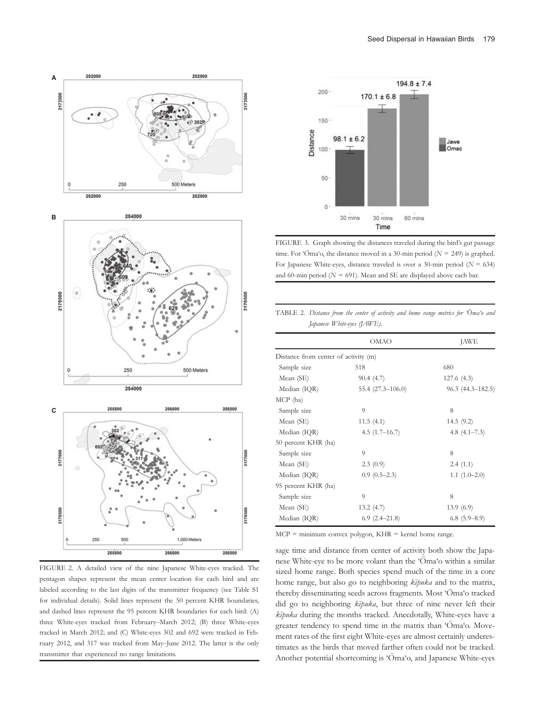





FIGURE 2. A detailed view of the nine Japanese White-eyes tracked. The pentagon shapes represent the mean center location for each bird and are labeled according to the last digits of the transmitter frequency (see Table S1 for individual details). Solid lines represent the 50 percent KHR boundaries, and dashed lines represent the 95 percent KHR boundaries for each bird: (A) three White-eyes tracked from February–March 2012; (B) three White-eyes tracked in March 2012; and (C) White-eyes 302 and 692 were tracked in February 2012, and 317 was tracked from May–June 2012. The latter is the only transmitter that experienced no range limitations.



FIGURE 3. Graph showing the distances traveled during the bird's gut passage time. For 'Oma'o, the distance moved in a 30-min period ( $N = 249$ ) is graphed. For Japanese White-eyes, distance traveled is over a 30-min period ( $N = 634$ ) and 60-min period ( $N = 691$ ). Mean and SE are displayed above each bar.

| TABLE 2. Distance from the center of activity and home range metrics for 'Oma'o and |
|-------------------------------------------------------------------------------------|
| <i>Japanese White-eyes ([AWE).</i>                                                  |

|                                      | OMAO              | <b>JAWE</b>        |  |
|--------------------------------------|-------------------|--------------------|--|
| Distance from center of activity (m) |                   |                    |  |
| Sample size                          | 518               | 680                |  |
| Mean (SE)                            | 90.4(4.7)         | 127.6(4.3)         |  |
| Median (IQR)                         | 55.4 (27.3-106.0) | $96.3(44.3-182.5)$ |  |
| $MCP$ (ha)                           |                   |                    |  |
| Sample size                          | $\mathbf Q$       | 8                  |  |
| Mean (SE)                            | 11.5(4.1)         | 14.5(9.2)          |  |
| Median (IQR)                         | $4.5(1.7-16.7)$   | 4.8 $(4.1 - 7.3)$  |  |
| 50 percent KHR (ha)                  |                   |                    |  |
| Sample size                          | 9                 | 8                  |  |
| Mean (SE)                            | 2.3(0.9)          | 2.4(1.1)           |  |
| Median (IQR)                         | $0.9(0.5-2.3)$    | $1.1(1.0-2.0)$     |  |
| 95 percent KHR (ha)                  |                   |                    |  |
| Sample size                          | 9                 | 8                  |  |
| Mean (SE)                            | 13.2(4.7)         | 13.9(6.9)          |  |
| Median (IQR)                         | $6.9(2.4 - 21.8)$ | $6.8(5.9-8.9)$     |  |

 $MCP =$  minimum convex polygon,  $KHR =$  kernel home range.

sage time and distance from center of activity both show the Japanese White-eye to be more volant than the 'Oma'o within a similar sized home range. Both species spend much of the time in a core home range, but also go to neighboring  $k\bar{\imath}$ puka and to the matrix, thereby disseminating seeds across fragments. Most 'Oma'o tracked did go to neighboring  $k\bar{\imath}$ puka, but three of nine never left their  $k\bar{z}$ puka during the months tracked. Anecdotally, White-eyes have a greater tendency to spend time in the matrix than 'Oma'o. Movement rates of the first eight White-eyes are almost certainly underestimates as the birds that moved farther often could not be tracked. Another potential shortcoming is 'Oma'o, and Japanese White-eyes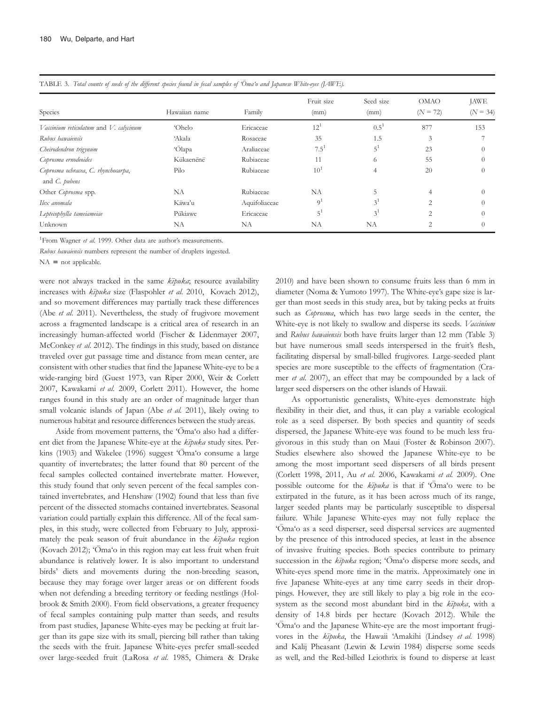|                                                      |               | - -           |                    |                   |                           |                           |
|------------------------------------------------------|---------------|---------------|--------------------|-------------------|---------------------------|---------------------------|
| Species                                              | Hawaiian name | Family        | Fruit size<br>(mm) | Seed size<br>(mm) | <b>OMAO</b><br>$(N = 72)$ | <b>JAWE</b><br>$(N = 34)$ |
| Vaccinium reticulatum and V. calycinum               | 'Ohelo        | Ericaceae     | $12^{1}$           | $0.5^1$           | 877                       | 153                       |
| Rubus hawaiensis                                     | 'Akala        | Rosaceae      | 35                 | 1.5               | 3                         |                           |
| Cheirodendron trigynum                               | 'Ōlapa        | Araliaceae    | $7.5^{1}$          | $5^1$             | 23                        | $\left($                  |
| Coprosma ernodeoides                                 | Kukaenene     | Rubiaceae     | 11                 | 6                 | 55                        | $\Omega$                  |
| Coprosma ochracea, C. rhynchocarpa,<br>and C. pubens | Pilo          | Rubiaceae     | $10^{1}$           | 4                 | 20                        | $\Omega$                  |
| Other Coprosma spp.                                  | NA            | Rubiaceae     | NA                 |                   | 4                         | $\Omega$                  |
| Ilex anomala                                         | Kāwa'u        | Aquifoliaceae | 9 <sup>1</sup>     | 3 <sup>1</sup>    | $\overline{c}$            | $\Omega$                  |
| Leptecophylla tameiameiae                            | Pukiawe       | Ericaceae     | $5^1$              | $3^1$             | $\overline{c}$            | $\Omega$                  |
| Unknown                                              | NA            | NA            | NA                 | NA                |                           |                           |

TABLE 3. Total counts of seeds of the different species found in fecal samples of 'Oma'o and Japanese White-eyes (LAWE).

<sup>1</sup>From Wagner et al. 1999. Other data are author's measurements.

Rubus hawaiensis numbers represent the number of druplets ingested.

 $NA = not applicable.$ 

were not always tracked in the same  $k\bar{z}$ *puka*; resource availability increases with  $k\bar{z}p u k a$  size (Flaspohler et al. 2010, Kovach 2012), and so movement differences may partially track these differences (Abe et al. 2011). Nevertheless, the study of frugivore movement across a fragmented landscape is a critical area of research in an increasingly human-affected world (Fischer & Lidenmayer 2007, McConkey et al. 2012). The findings in this study, based on distance traveled over gut passage time and distance from mean center, are consistent with other studies that find the Japanese White-eye to be a wide-ranging bird (Guest 1973, van Riper 2000, Weir & Corlett 2007, Kawakami et al. 2009, Corlett 2011). However, the home ranges found in this study are an order of magnitude larger than small volcanic islands of Japan (Abe et al. 2011), likely owing to numerous habitat and resource differences between the study areas.

Aside from movement patterns, the 'Oma'o also had a different diet from the Japanese White-eye at the kīpuka study sites. Perkins (1903) and Wakelee (1996) suggest 'Oma'o consume a large quantity of invertebrates; the latter found that 80 percent of the fecal samples collected contained invertebrate matter. However, this study found that only seven percent of the fecal samples contained invertebrates, and Henshaw (1902) found that less than five percent of the dissected stomachs contained invertebrates. Seasonal variation could partially explain this difference. All of the fecal samples, in this study, were collected from February to July, approximately the peak season of fruit abundance in the  $k\bar{z}$ puka region (Kovach 2012); 'Oma'o in this region may eat less fruit when fruit abundance is relatively lower. It is also important to understand birds' diets and movements during the non-breeding season, because they may forage over larger areas or on different foods when not defending a breeding territory or feeding nestlings (Holbrook & Smith 2000). From field observations, a greater frequency of fecal samples containing pulp matter than seeds, and results from past studies, Japanese White-eyes may be pecking at fruit larger than its gape size with its small, piercing bill rather than taking the seeds with the fruit. Japanese White-eyes prefer small-seeded over large-seeded fruit (LaRosa et al. 1985, Chimera & Drake

2010) and have been shown to consume fruits less than 6 mm in diameter (Noma & Yumoto 1997). The White-eye's gape size is larger than most seeds in this study area, but by taking pecks at fruits such as *Coprosma*, which has two large seeds in the center, the White-eye is not likely to swallow and disperse its seeds. Vaccinium and Rubus hawaiensis both have fruits larger than 12 mm (Table 3) but have numerous small seeds interspersed in the fruit's flesh, facilitating dispersal by small-billed frugivores. Large-seeded plant species are more susceptible to the effects of fragmentation (Cramer et al. 2007), an effect that may be compounded by a lack of larger seed dispersers on the other islands of Hawaii.

As opportunistic generalists, White-eyes demonstrate high flexibility in their diet, and thus, it can play a variable ecological role as a seed disperser. By both species and quantity of seeds dispersed, the Japanese White-eye was found to be much less frugivorous in this study than on Maui (Foster & Robinson 2007). Studies elsewhere also showed the Japanese White-eye to be among the most important seed dispersers of all birds present (Corlett 1998, 2011, Au et al. 2006, Kawakami et al. 2009). One possible outcome for the kipuka is that if 'Oma'o were to be extirpated in the future, as it has been across much of its range, larger seeded plants may be particularly susceptible to dispersal failure. While Japanese White-eyes may not fully replace the 'Oma'o as a seed disperser, seed dispersal services are augmented by the presence of this introduced species, at least in the absence of invasive fruiting species. Both species contribute to primary succession in the  $k\bar{z}$ puka region; 'Oma'o disperse more seeds, and White-eyes spend more time in the matrix. Approximately one in five Japanese White-eyes at any time carry seeds in their droppings. However, they are still likely to play a big role in the ecosystem as the second most abundant bird in the kīpuka, with a density of 14.8 birds per hectare (Kovach 2012). While the 'Oma'o and the Japanese White-eye are the most important frugivores in the kīpuka, the Hawaii 'Amakihi (Lindsey et al. 1998) and Kalij Pheasant (Lewin & Lewin 1984) disperse some seeds as well, and the Red-billed Leiothrix is found to disperse at least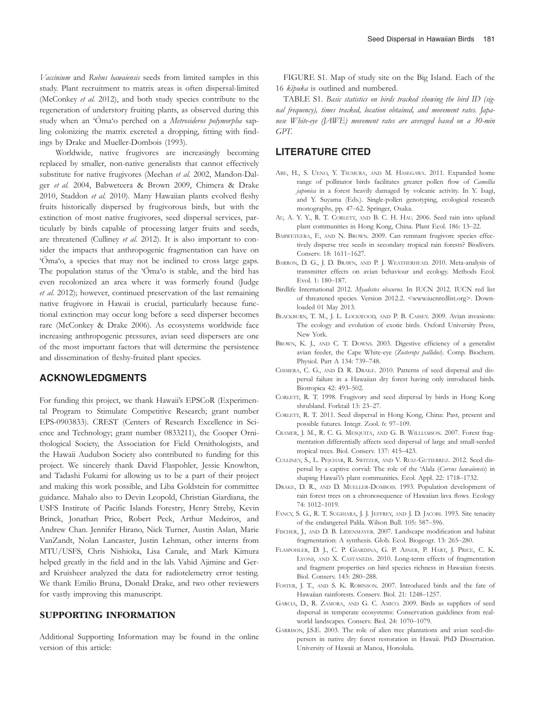Vaccinium and Rubus hawaiensis seeds from limited samples in this study. Plant recruitment to matrix areas is often dispersal-limited (McConkey et al. 2012), and both study species contribute to the regeneration of understory fruiting plants, as observed during this study when an 'Oma'o perched on a Metrosideros polymorpha sapling colonizing the matrix excreted a dropping, fitting with findings by Drake and Mueller-Dombois (1993).

Worldwide, native frugivores are increasingly becoming replaced by smaller, non-native generalists that cannot effectively substitute for native frugivores (Meehan et al. 2002, Mandon-Dalger et al. 2004, Babweteera & Brown 2009, Chimera & Drake 2010, Staddon et al. 2010). Many Hawaiian plants evolved fleshy fruits historically dispersed by frugivorous birds, but with the extinction of most native frugivores, seed dispersal services, particularly by birds capable of processing larger fruits and seeds, are threatened (Culliney et al. 2012). It is also important to consider the impacts that anthropogenic fragmentation can have on 'Oma'o, a species that may not be inclined to cross large gaps. The population status of the 'Oma'o is stable, and the bird has even recolonized an area where it was formerly found (Judge et al. 2012); however, continued preservation of the last remaining native frugivore in Hawaii is crucial, particularly because functional extinction may occur long before a seed disperser becomes rare (McConkey & Drake 2006). As ecosystems worldwide face increasing anthropogenic pressures, avian seed dispersers are one of the most important factors that will determine the persistence and dissemination of fleshy-fruited plant species.

## ACKNOWLEDGMENTS

For funding this project, we thank Hawaii's EPSCoR (Experimental Program to Stimulate Competitive Research; grant number EPS-0903833). CREST (Centers of Research Excellence in Science and Technology; grant number 0833211), the Cooper Ornithological Society, the Association for Field Ornithologists, and the Hawaii Audubon Society also contributed to funding for this project. We sincerely thank David Flaspohler, Jessie Knowlton, and Tadashi Fukami for allowing us to be a part of their project and making this work possible, and Liba Goldstein for committee guidance. Mahalo also to Devin Leopold, Christian Giardiana, the USFS Institute of Pacific Islands Forestry, Henry Streby, Kevin Brinck, Jonathan Price, Robert Peck, Arthur Medeiros, and Andrew Chan. Jennifer Hirano, Nick Turner, Austin Aslan, Marie VanZandt, Nolan Lancaster, Justin Lehman, other interns from MTU/USFS, Chris Nishioka, Lisa Canale, and Mark Kimura helped greatly in the field and in the lab. Vahid Ajimine and Gerard Kruisheer analyzed the data for radiotelemetry error testing. We thank Emilio Bruna, Donald Drake, and two other reviewers for vastly improving this manuscript.

# SUPPORTING INFORMATION

Additional Supporting Information may be found in the online version of this article:

FIGURE S1. Map of study site on the Big Island. Each of the 16 kīpuka is outlined and numbered.

TABLE S1. Basic statistics on birds tracked showing the bird ID (signal frequency), times tracked, location obtained, and movement rates. Japanese White-eye (JAWE) movement rates are averaged based on a 30-min GPT.

### LITERATURE CITED

- ABE, H., S. UENO, Y. TSUMURA, AND M. HASEGAWA. 2011. Expanded home range of pollinator birds facilitates greater pollen flow of Camellia japonica in a forest heavily damaged by volcanic activity. In Y. Isagi, and Y. Suyama (Eds.). Single-pollen genotyping, ecological research monographs, pp. 47–62. Springer, Osaka.
- AU, A. Y. Y., R. T. CORLETT, AND B. C. H. HAU. 2006. Seed rain into upland plant communities in Hong Kong, China. Plant Ecol. 186: 13–22.
- BABWETEERA, F., AND N. BROWN. 2009. Can remnant frugivore species effectively disperse tree seeds in secondary tropical rain forests? Biodivers. Conserv. 18: 1611–1627.
- BARRON, D. G., J. D. BRAWN, AND P. J. WEATHERHEAD. 2010. Meta-analysis of transmitter effects on avian behaviour and ecology. Methods Ecol. Evol. 1: 180–187.
- Birdlife International 2012. Myadestes obscurus. In IUCN 2012. IUCN red list of threatened species. Version 2012.2. <www.iucnredlist.org>. Downloaded 01 May 2013.
- BLACKBURN, T. M., J. L. LOCKWOOD, AND P. B. CASSEY. 2009. Avian invasions: The ecology and evolution of exotic birds. Oxford University Press, New York.
- BROWN, K. J., AND C. T. DOWNS. 2003. Digestive efficiency of a generalist avian feeder, the Cape White-eye (Zosterops pallidus). Comp. Biochem. Physiol. Part A 134: 739–748.
- CHIMERA, C. G., AND D. R. DRAKE. 2010. Patterns of seed dispersal and dispersal failure in a Hawaiian dry forest having only introduced birds. Biotropica 42: 493–502.
- CORLETT, R. T. 1998. Frugivory and seed dispersal by birds in Hong Kong shrubland. Forktail 13: 23–27.
- CORLETT, R. T. 2011. Seed dispersal in Hong Kong, China: Past, present and possible futures. Integr. Zool. 6: 97–109.
- CRAMER, J. M., R. C. G. MESQUITA, AND G. B. WILLIAMSON. 2007. Forest fragmentation differentially affects seed dispersal of large and small-seeded tropical trees. Biol. Conserv. 137: 415–423.
- CULLINEY, S., L. PEJCHAR, R. SWITZER, AND V. RUIZ-GUTIERREZ. 2012. Seed dispersal by a captive corvid: The role of the 'Alala (Corvus hawaiiensis) in shaping Hawai'i's plant communities. Ecol. Appl. 22: 1718-1732.
- DRAKE, D. R., AND D. MUELLER-DOMBOIS. 1993. Population development of rain forest trees on a chronosequence of Hawaiian lava flows. Ecology 74: 1012–1019.
- FANCY, S. G., R. T. SUGIHARA, J. J. JEFFREY, AND J. D. JACOBI. 1993. Site tenacity of the endangered Palila. Wilson Bull. 105: 587–596.
- FISCHER, J., AND D. B. LIDENMAYER. 2007. Landscape modification and habitat fragmentation: A synthesis. Glob. Ecol. Biogeogr. 13: 265–280.
- FLASPOHLER, D. J., C. P. GIARDINA, G. P. ASNER, P. HART, J. PRICE, C. K. LYONS, AND X. CASTANEDA. 2010. Long-term effects of fragmentation and fragment properties on bird species richness in Hawaiian forests. Biol. Conserv. 143: 280–288.
- FOSTER, J. T., AND S. K. ROBINSON. 2007. Introduced birds and the fate of Hawaiian rainforests. Conserv. Biol. 21: 1248–1257.
- GARCIA, D., R. ZAMORA, AND G. C. AMICO. 2009. Birds as suppliers of seed dispersal in temperate ecosystems: Conservation guidelines from realworld landscapes. Conserv. Biol. 24: 1070–1079.
- GARRISON, J.S.E. 2003. The role of alien tree plantations and avian seed-dispersers in native dry forest restoration in Hawaii. PhD Dissertation. University of Hawaii at Manoa, Honolulu.